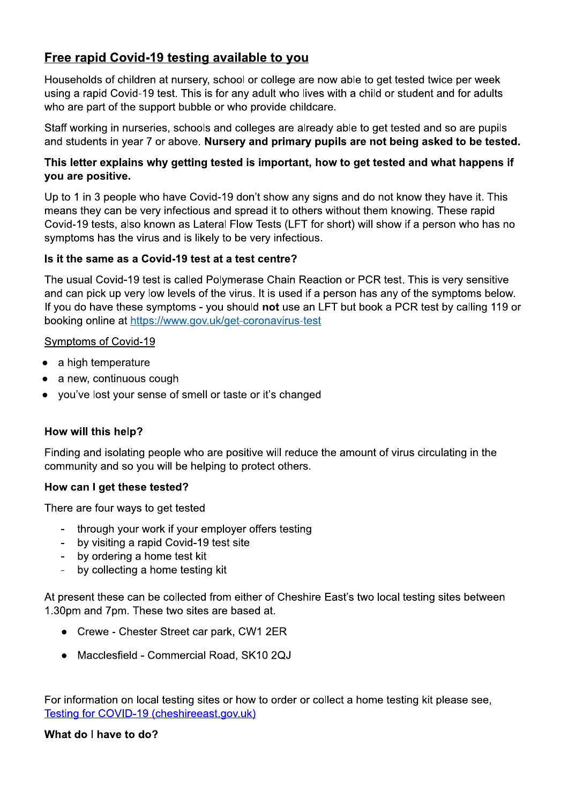# Free rapid Covid-19 testing available to you

Households of children at nursery, school or college are now able to get tested twice per week using a rapid Covid-19 test. This is for any adult who lives with a child or student and for adults who are part of the support bubble or who provide childcare.

Staff working in nurseries, schools and colleges are already able to get tested and so are pupils and students in year 7 or above. Nursery and primary pupils are not being asked to be tested.

# This letter explains why getting tested is important, how to get tested and what happens if you are positive.

Up to 1 in 3 people who have Covid-19 don't show any signs and do not know they have it. This means they can be very infectious and spread it to others without them knowing. These rapid Covid-19 tests, also known as Lateral Flow Tests (LFT for short) will show if a person who has no symptoms has the virus and is likely to be very infectious.

# Is it the same as a Covid-19 test at a test centre?

The usual Covid-19 test is called Polymerase Chain Reaction or PCR test. This is very sensitive and can pick up very low levels of the virus. It is used if a person has any of the symptoms below. If you do have these symptoms - you should not use an LFT but book a PCR test by calling 119 or booking online at https://www.gov.uk/get-coronavirus-test

# Symptoms of Covid-19

- a high temperature
- a new, continuous cough  $\bullet$
- you've lost your sense of smell or taste or it's changed

# How will this help?

Finding and isolating people who are positive will reduce the amount of virus circulating in the community and so you will be helping to protect others.

### How can I get these tested?

There are four ways to get tested

- through your work if your employer offers testing
- by visiting a rapid Covid-19 test site
- by ordering a home test kit
- by collecting a home testing kit

At present these can be collected from either of Cheshire East's two local testing sites between 1.30pm and 7pm. These two sites are based at.

- Crewe Chester Street car park, CW1 2ER
- Macclesfield Commercial Road, SK10 2QJ

For information on local testing sites or how to order or collect a home testing kit please see, Testing for COVID-19 (cheshireeast.gov.uk)

### What do I have to do?